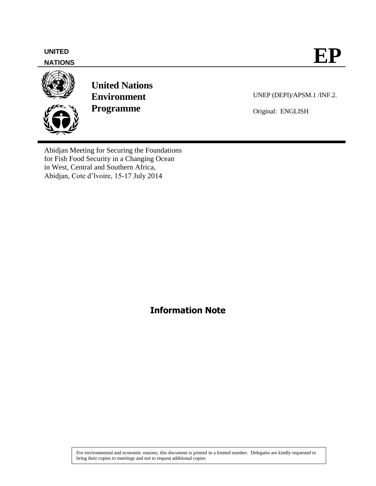#### **NATIONS**



**United Nations Environment Programme**

UNEP (DEPI)/APSM.1 /INF.2.

Original: ENGLISH

Abidjan Meeting for Securing the Foundations for Fish Food Security in a Changing Ocean in West, Central and Southern Africa, Abidjan, Cote d'lvoire, 15-17 July 2014

**Information Note**

For environmental and economic reasons, this document is printed in a limited number. Delegates are kindly requested to bring their copies to meetings and not to request additional copies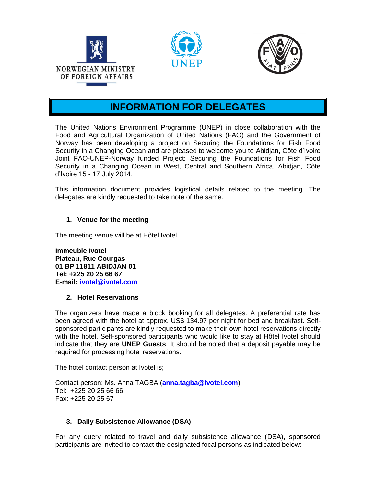





# **INFORMATION FOR DELEGATES**

The United Nations Environment Programme (UNEP) in close collaboration with the Food and Agricultural Organization of United Nations (FAO) and the Government of Norway has been developing a project on Securing the Foundations for Fish Food Security in a Changing Ocean and are pleased to welcome you to Abidjan, Côte d'Ivoire Joint FAO-UNEP-Norway funded Project: Securing the Foundations for Fish Food Security in a Changing Ocean in West, Central and Southern Africa, Abidjan, Côte d'Ivoire 15 - 17 July 2014.

This information document provides logistical details related to the meeting. The delegates are kindly requested to take note of the same.

# **1. Venue for the meeting**

The meeting venue will be at Hôtel Ivotel

**Immeuble Ivotel Plateau, Rue Courgas 01 BP 11811 ABIDJAN 01 Tel: +225 20 25 66 67 E-mail: [ivotel@ivotel.com](mailto:ivotel@ivotel.com)**

## **2. Hotel Reservations**

The organizers have made a block booking for all delegates. A preferential rate has been agreed with the hotel at approx. US\$ 134.97 per night for bed and breakfast. Selfsponsored participants are kindly requested to make their own hotel reservations directly with the hotel. Self-sponsored participants who would like to stay at Hôtel Ivotel should indicate that they are **UNEP Guests**. It should be noted that a deposit payable may be required for processing hotel reservations.

The hotel contact person at Ivotel is;

Contact person: Ms. Anna TAGBA (**anna.tagba@ivotel.com**) Tel: +225 20 25 66 66 Fax: +225 20 25 67

# **3. Daily Subsistence Allowance (DSA)**

For any query related to travel and daily subsistence allowance (DSA), sponsored participants are invited to contact the designated focal persons as indicated below: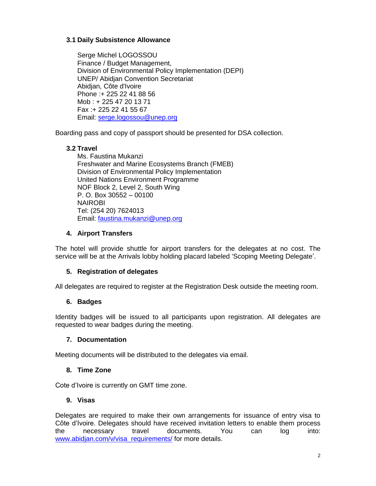# **3.1 Daily Subsistence Allowance**

Serge Michel LOGOSSOU Finance / Budget Management, Division of Environmental Policy Implementation (DEPI) UNEP/ Abidjan Convention Secretariat Abidjan, Côte d'Ivoire Phone :+ 225 22 41 88 56 Mob : + 225 47 20 13 71 Fax :+ 225 22 41 55 67 Email: [serge.logossou@unep.org](mailto:serge.logossou@unep.org)

Boarding pass and copy of passport should be presented for DSA collection.

# **3.2 Travel**

Ms. Faustina Mukanzi Freshwater and Marine Ecosystems Branch (FMEB) Division of Environmental Policy Implementation United Nations Environment Programme NOF Block 2, Level 2, South Wing P. O. Box 30552 – 00100 NAIROBI Tel: (254 20) 7624013 Email: [faustina.mukanzi@unep.org](mailto:faustina.mukanzi@unep.org)

# **4. Airport Transfers**

The hotel will provide shuttle for airport transfers for the delegates at no cost. The service will be at the Arrivals lobby holding placard labeled 'Scoping Meeting Delegate'.

## **5. Registration of delegates**

All delegates are required to register at the Registration Desk outside the meeting room.

## **6. Badges**

Identity badges will be issued to all participants upon registration. All delegates are requested to wear badges during the meeting.

## **7. Documentation**

Meeting documents will be distributed to the delegates via email.

## **8. Time Zone**

Cote d'Ivoire is currently on GMT time zone.

## **9. Visas**

Delegates are required to make their own arrangements for issuance of entry visa to Côte d'Ivoire. Delegates should have received invitation letters to enable them process the necessary travel documents. You can log into: [www.abidjan.com/v/visa\\_requirements/](http://www.abidjan.com/v/visa_requirements/) for more details.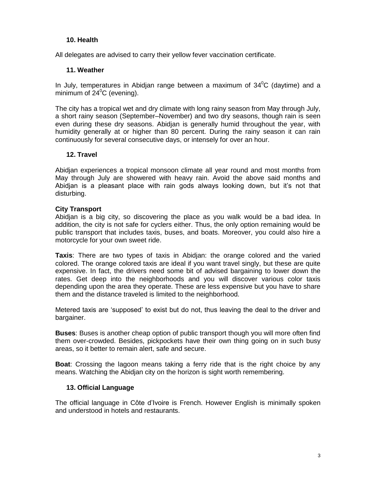#### **10. Health**

All delegates are advised to carry their yellow fever vaccination certificate.

#### **11. Weather**

In July, temperatures in Abidjan range between a maximum of  $34^{\circ}$ C (daytime) and a minimum of  $24^{\circ}$ C (evening).

The city has a tropical wet and dry climate with long rainy season from May through July, a short rainy season (September–November) and two dry seasons, though rain is seen even during these dry seasons. Abidjan is generally humid throughout the year, with humidity generally at or higher than 80 percent. During the rainy season it can rain continuously for several consecutive days, or intensely for over an hour.

## **12. Travel**

Abidjan experiences a tropical monsoon climate all year round and most months from May through July are showered with heavy rain. Avoid the above said months and Abidjan is a pleasant place with rain gods always looking down, but it's not that disturbing.

#### **City Transport**

Abidjan is a big city, so discovering the place as you walk would be a bad idea. In addition, the city is not safe for cyclers either. Thus, the only option remaining would be public transport that includes taxis, buses, and boats. Moreover, you could also hire a motorcycle for your own sweet ride.

**Taxis**: There are two types of taxis in Abidjan: the orange colored and the varied colored. The orange colored taxis are ideal if you want travel singly, but these are quite expensive. In fact, the drivers need some bit of advised bargaining to lower down the rates. Get deep into the neighborhoods and you will discover various color taxis depending upon the area they operate. These are less expensive but you have to share them and the distance traveled is limited to the neighborhood.

Metered taxis are 'supposed' to exist but do not, thus leaving the deal to the driver and bargainer.

**Buses**: Buses is another cheap option of public transport though you will more often find them over-crowded. Besides, pickpockets have their own thing going on in such busy areas, so it better to remain alert, safe and secure.

**Boat**: Crossing the lagoon means taking a ferry ride that is the right choice by any means. Watching the Abidjan city on the horizon is sight worth remembering.

## **13. Official Language**

The official language in Côte d'Ivoire is French. However English is minimally spoken and understood in hotels and restaurants.